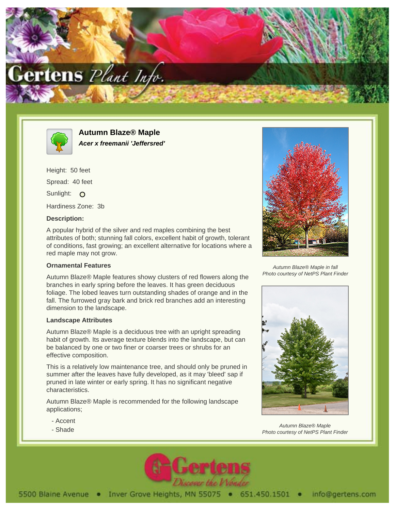



**Autumn Blaze® Maple Acer x freemanii 'Jeffersred'**

Height: 50 feet Spread: 40 feet Sunlight: O Hardiness Zone: 3b

## **Description:**

A popular hybrid of the silver and red maples combining the best attributes of both; stunning fall colors, excellent habit of growth, tolerant of conditions, fast growing; an excellent alternative for locations where a red maple may not grow.

## **Ornamental Features**

Autumn Blaze® Maple features showy clusters of red flowers along the branches in early spring before the leaves. It has green deciduous foliage. The lobed leaves turn outstanding shades of orange and in the fall. The furrowed gray bark and brick red branches add an interesting dimension to the landscape.

## **Landscape Attributes**

Autumn Blaze® Maple is a deciduous tree with an upright spreading habit of growth. Its average texture blends into the landscape, but can be balanced by one or two finer or coarser trees or shrubs for an effective composition.

This is a relatively low maintenance tree, and should only be pruned in summer after the leaves have fully developed, as it may 'bleed' sap if pruned in late winter or early spring. It has no significant negative characteristics.

Autumn Blaze® Maple is recommended for the following landscape applications;

- Accent
- Shade



Autumn Blaze® Maple in fall Photo courtesy of NetPS Plant Finder



Autumn Blaze® Maple Photo courtesy of NetPS Plant Finder